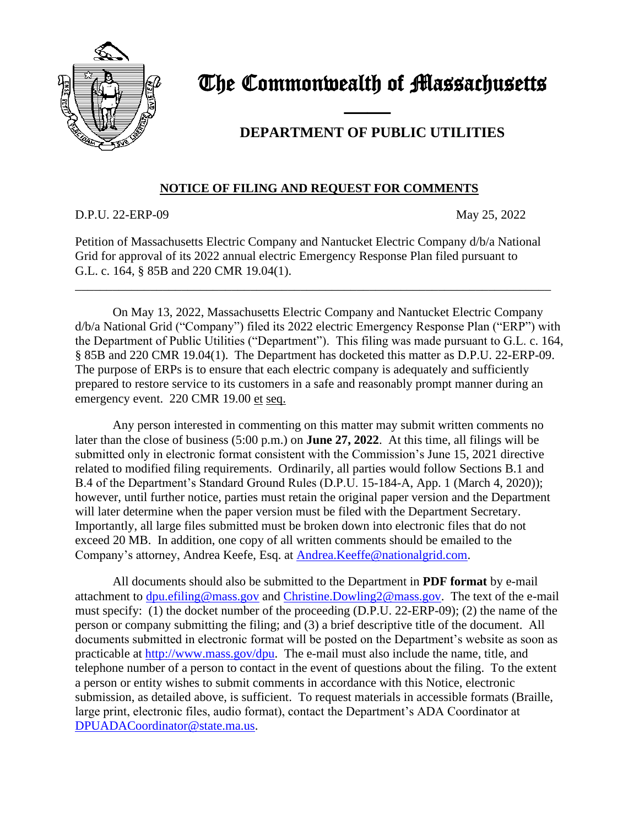

## The Commonwealth of Massachusetts

## **DEPARTMENT OF PUBLIC UTILITIES**

## **NOTICE OF FILING AND REQUEST FOR COMMENTS**

and the contract of the contract of

D.P.U. 22-ERP-09 May 25, 2022

Petition of Massachusetts Electric Company and Nantucket Electric Company d/b/a National Grid for approval of its 2022 annual electric Emergency Response Plan filed pursuant to G.L. c. 164, § 85B and 220 CMR 19.04(1).

\_\_\_\_\_\_\_\_\_\_\_\_\_\_\_\_\_\_\_\_\_\_\_\_\_\_\_\_\_\_\_\_\_\_\_\_\_\_\_\_\_\_\_\_\_\_\_\_\_\_\_\_\_\_\_\_\_\_\_\_\_\_\_\_\_\_\_\_\_\_\_\_\_\_\_\_

On May 13, 2022, Massachusetts Electric Company and Nantucket Electric Company d/b/a National Grid ("Company") filed its 2022 electric Emergency Response Plan ("ERP") with the Department of Public Utilities ("Department"). This filing was made pursuant to G.L. c. 164, § 85B and 220 CMR 19.04(1). The Department has docketed this matter as D.P.U. 22-ERP-09. The purpose of ERPs is to ensure that each electric company is adequately and sufficiently prepared to restore service to its customers in a safe and reasonably prompt manner during an emergency event. 220 CMR 19.00 et seq.

Any person interested in commenting on this matter may submit written comments no later than the close of business (5:00 p.m.) on **June 27, 2022**. At this time, all filings will be submitted only in electronic format consistent with the Commission's June 15, 2021 directive related to modified filing requirements. Ordinarily, all parties would follow Sections B.1 and B.4 of the Department's Standard Ground Rules (D.P.U. 15-184-A, App. 1 (March 4, 2020)); however, until further notice, parties must retain the original paper version and the Department will later determine when the paper version must be filed with the Department Secretary. Importantly, all large files submitted must be broken down into electronic files that do not exceed 20 MB. In addition, one copy of all written comments should be emailed to the Company's attorney, Andrea Keefe, Esq. at [Andrea.Keeffe@nationalgrid.com.](mailto:Andrea.Keeffe@nationalgrid.com)

All documents should also be submitted to the Department in **PDF format** by e-mail attachment to [dpu.efiling@mass.gov](mailto:dpu.efiling@mass.gov) and [Christine.Dowling2@mass.gov.](mailto:Lauren.Morris@mass.gov) The text of the e-mail must specify: (1) the docket number of the proceeding (D.P.U. 22-ERP-09); (2) the name of the person or company submitting the filing; and (3) a brief descriptive title of the document. All documents submitted in electronic format will be posted on the Department's website as soon as practicable at [http://www.mass.gov/dpu.](http://www.mass.gov/dpu) The e-mail must also include the name, title, and telephone number of a person to contact in the event of questions about the filing. To the extent a person or entity wishes to submit comments in accordance with this Notice, electronic submission, as detailed above, is sufficient. To request materials in accessible formats (Braille, large print, electronic files, audio format), contact the Department's ADA Coordinator at [DPUADACoordinator@state.ma.us.](file://///env.govt.state.ma.us/enterprise/DPU-SouthStation-WKGRP/SHARED/GRECs/2018%20GRECs%20(CY%202017%20recon)/18-GREC-06%20(NSTAR)/Notices/DPUADACoordinator@state.ma.us)